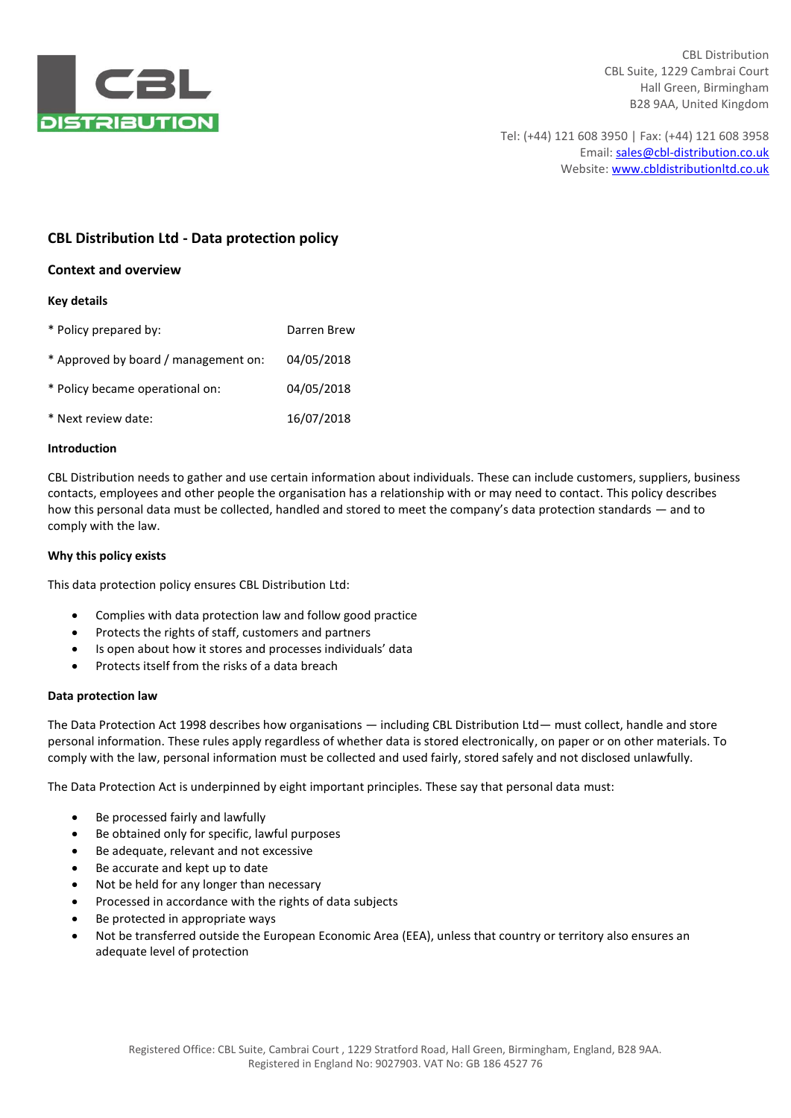

Tel: (+44) 121 608 3950 | Fax: (+44) 121 608 3958 Email: sales@cbl-distribution.co.uk Website: www.cbldistributionltd.co.uk

# **CBL Distribution Ltd - Data protection policy**

# **Context and overview**

# **Key details**

| * Policy prepared by:                | Darren Brew |
|--------------------------------------|-------------|
| * Approved by board / management on: | 04/05/2018  |
| * Policy became operational on:      | 04/05/2018  |
| * Next review date:                  | 16/07/2018  |

#### **Introduction**

CBL Distribution needs to gather and use certain information about individuals. These can include customers, suppliers, business contacts, employees and other people the organisation has a relationship with or may need to contact. This policy describes how this personal data must be collected, handled and stored to meet the company's data protection standards — and to comply with the law.

### **Why this policy exists**

This data protection policy ensures CBL Distribution Ltd:

- Complies with data protection law and follow good practice
- Protects the rights of staff, customers and partners
- Is open about how it stores and processes individuals' data
- Protects itself from the risks of a data breach

# **Data protection law**

The Data Protection Act 1998 describes how organisations — including CBL Distribution Ltd— must collect, handle and store personal information. These rules apply regardless of whether data is stored electronically, on paper or on other materials. To comply with the law, personal information must be collected and used fairly, stored safely and not disclosed unlawfully.

The Data Protection Act is underpinned by eight important principles. These say that personal data must:

- Be processed fairly and lawfully
- Be obtained only for specific, lawful purposes
- Be adequate, relevant and not excessive
- Be accurate and kept up to date
- Not be held for any longer than necessary
- Processed in accordance with the rights of data subjects
- Be protected in appropriate ways
- Not be transferred outside the European Economic Area (EEA), unless that country or territory also ensures an adequate level of protection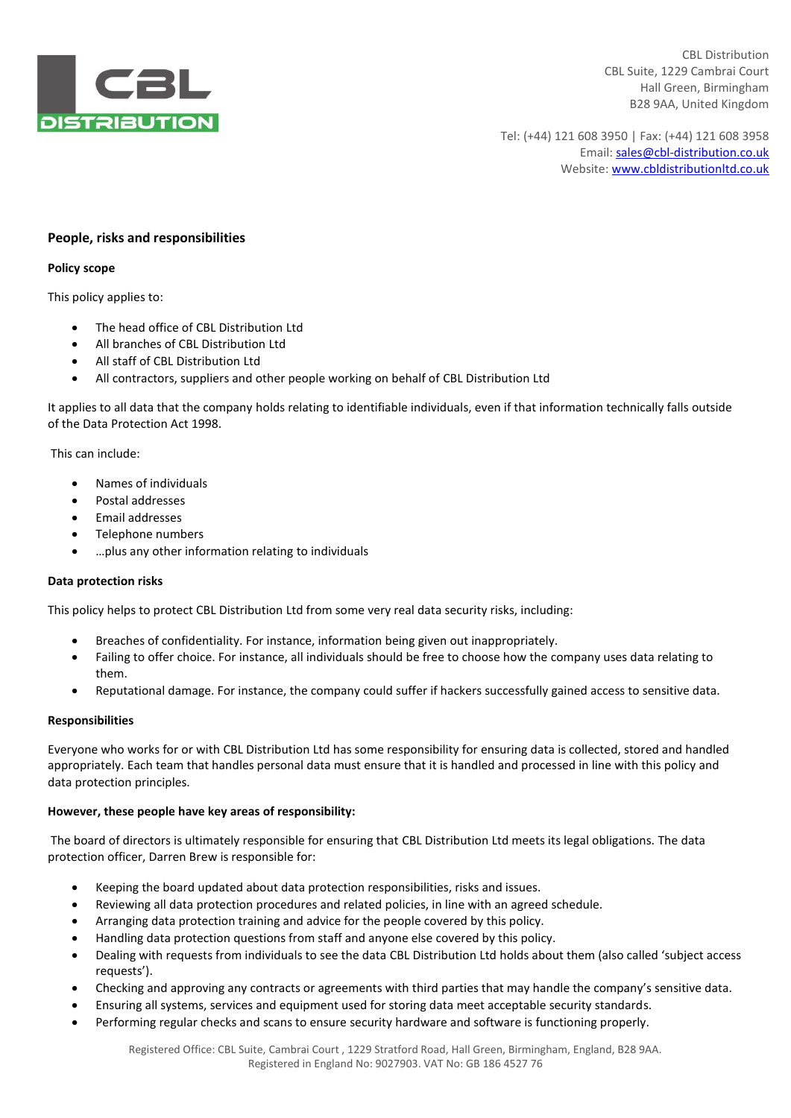

Tel: (+44) 121 608 3950 | Fax: (+44) 121 608 3958 Email: sales@cbl-distribution.co.uk Website: www.cbldistributionltd.co.uk

# **People, risks and responsibilities**

#### **Policy scope**

This policy applies to:

- The head office of CBL Distribution Ltd
- All branches of CBL Distribution Ltd
- All staff of CBL Distribution Ltd
- All contractors, suppliers and other people working on behalf of CBL Distribution Ltd

It applies to all data that the company holds relating to identifiable individuals, even if that information technically falls outside of the Data Protection Act 1998.

This can include:

- Names of individuals
- Postal addresses
- Email addresses
- Telephone numbers
- …plus any other information relating to individuals

#### **Data protection risks**

This policy helps to protect CBL Distribution Ltd from some very real data security risks, including:

- Breaches of confidentiality. For instance, information being given out inappropriately.
- Failing to offer choice. For instance, all individuals should be free to choose how the company uses data relating to them.
- Reputational damage. For instance, the company could suffer if hackers successfully gained access to sensitive data.

#### **Responsibilities**

Everyone who works for or with CBL Distribution Ltd has some responsibility for ensuring data is collected, stored and handled appropriately. Each team that handles personal data must ensure that it is handled and processed in line with this policy and data protection principles.

#### **However, these people have key areas of responsibility:**

The board of directors is ultimately responsible for ensuring that CBL Distribution Ltd meets its legal obligations. The data protection officer, Darren Brew is responsible for:

- Keeping the board updated about data protection responsibilities, risks and issues.
- Reviewing all data protection procedures and related policies, in line with an agreed schedule.
- Arranging data protection training and advice for the people covered by this policy.
- Handling data protection questions from staff and anyone else covered by this policy.
- Dealing with requests from individuals to see the data CBL Distribution Ltd holds about them (also called 'subject access requests').
- Checking and approving any contracts or agreements with third parties that may handle the company's sensitive data.
- Ensuring all systems, services and equipment used for storing data meet acceptable security standards.
- Performing regular checks and scans to ensure security hardware and software is functioning properly.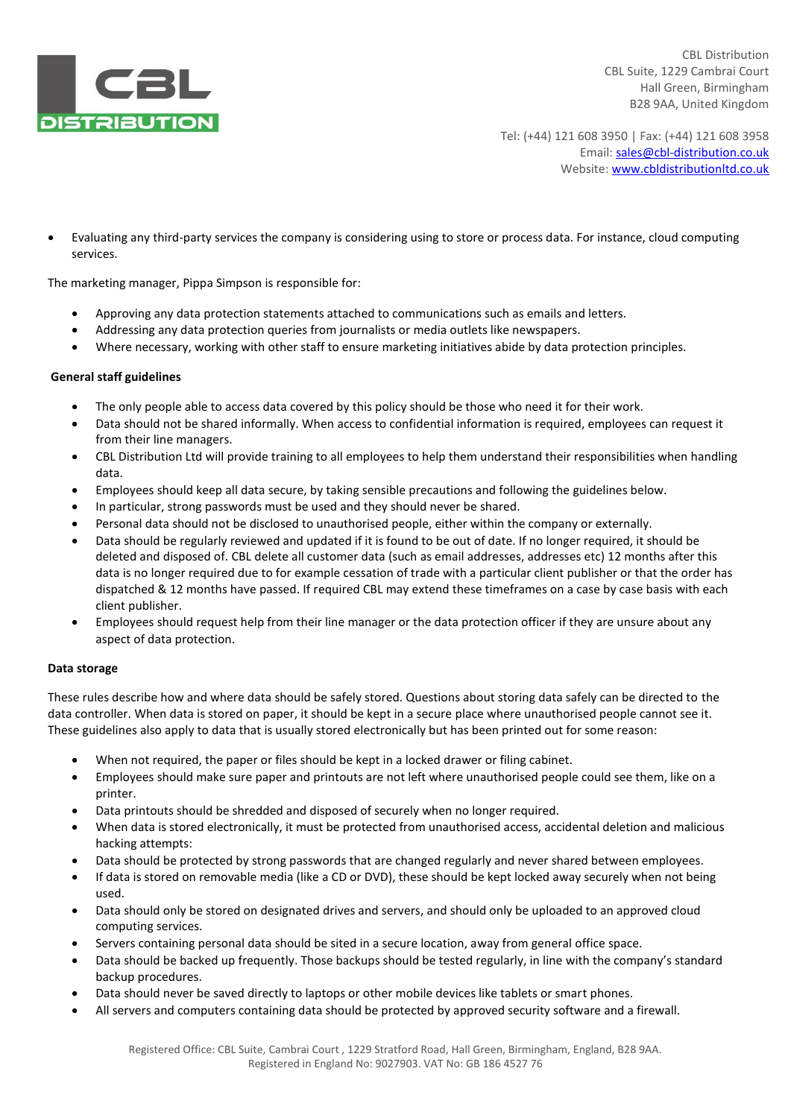

Tel: (+44) 121 608 3950 | Fax: (+44) 121 608 3958 Email: sales@cbl-distribution.co.uk Website: www.cbldistributionltd.co.uk

 Evaluating any third-party services the company is considering using to store or process data. For instance, cloud computing services.

The marketing manager, Pippa Simpson is responsible for:

- Approving any data protection statements attached to communications such as emails and letters.
- Addressing any data protection queries from journalists or media outlets like newspapers.
- Where necessary, working with other staff to ensure marketing initiatives abide by data protection principles.

# **General staff guidelines**

- The only people able to access data covered by this policy should be those who need it for their work.
- Data should not be shared informally. When access to confidential information is required, employees can request it from their line managers.
- CBL Distribution Ltd will provide training to all employees to help them understand their responsibilities when handling data.
- Employees should keep all data secure, by taking sensible precautions and following the guidelines below.
- In particular, strong passwords must be used and they should never be shared.
- Personal data should not be disclosed to unauthorised people, either within the company or externally.
- Data should be regularly reviewed and updated if it is found to be out of date. If no longer required, it should be deleted and disposed of. CBL delete all customer data (such as email addresses, addresses etc) 12 months after this data is no longer required due to for example cessation of trade with a particular client publisher or that the order has dispatched & 12 months have passed. If required CBL may extend these timeframes on a case by case basis with each client publisher.
- Employees should request help from their line manager or the data protection officer if they are unsure about any aspect of data protection.

# **Data storage**

These rules describe how and where data should be safely stored. Questions about storing data safely can be directed to the data controller. When data is stored on paper, it should be kept in a secure place where unauthorised people cannot see it. These guidelines also apply to data that is usually stored electronically but has been printed out for some reason:

- When not required, the paper or files should be kept in a locked drawer or filing cabinet.
- Employees should make sure paper and printouts are not left where unauthorised people could see them, like on a printer.
- Data printouts should be shredded and disposed of securely when no longer required.
- When data is stored electronically, it must be protected from unauthorised access, accidental deletion and malicious hacking attempts:
- Data should be protected by strong passwords that are changed regularly and never shared between employees.
- If data is stored on removable media (like a CD or DVD), these should be kept locked away securely when not being used.
- Data should only be stored on designated drives and servers, and should only be uploaded to an approved cloud computing services.
- Servers containing personal data should be sited in a secure location, away from general office space.
- Data should be backed up frequently. Those backups should be tested regularly, in line with the company's standard backup procedures.
- Data should never be saved directly to laptops or other mobile devices like tablets or smart phones.
- All servers and computers containing data should be protected by approved security software and a firewall.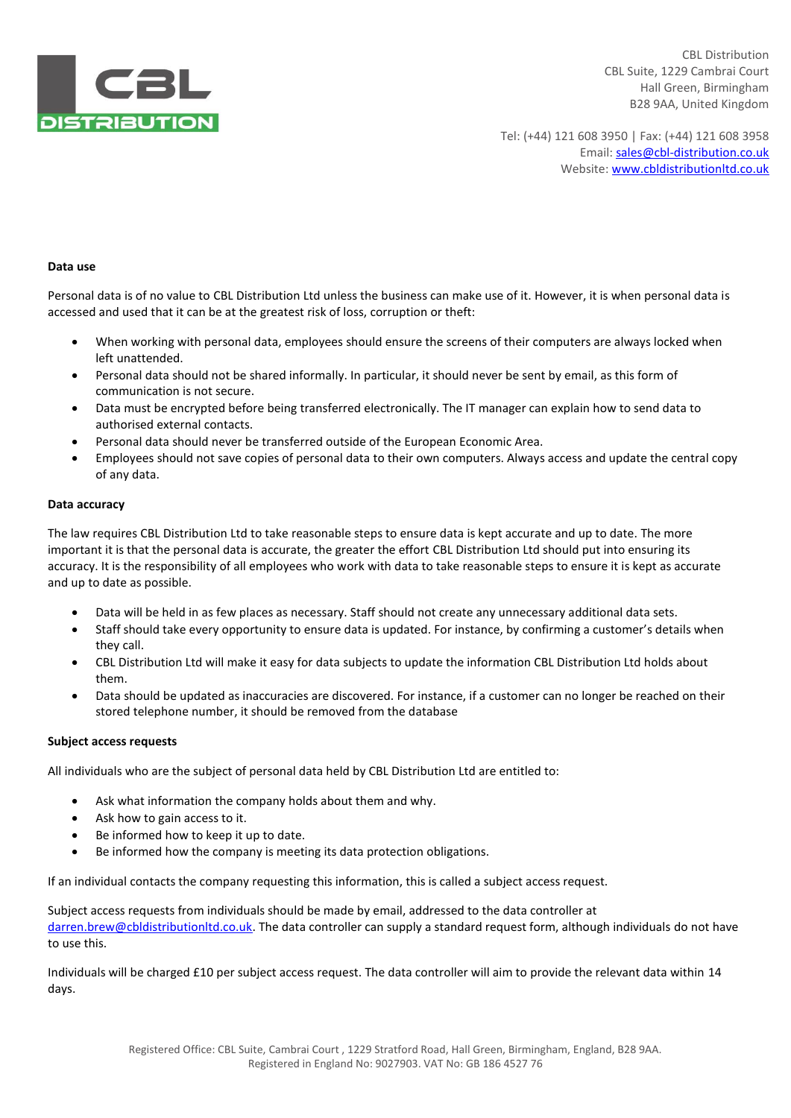

Tel: (+44) 121 608 3950 | Fax: (+44) 121 608 3958 Email: sales@cbl-distribution.co.uk Website: www.cbldistributionltd.co.uk

### **Data use**

Personal data is of no value to CBL Distribution Ltd unless the business can make use of it. However, it is when personal data is accessed and used that it can be at the greatest risk of loss, corruption or theft:

- When working with personal data, employees should ensure the screens of their computers are always locked when left unattended.
- Personal data should not be shared informally. In particular, it should never be sent by email, as this form of communication is not secure.
- Data must be encrypted before being transferred electronically. The IT manager can explain how to send data to authorised external contacts.
- Personal data should never be transferred outside of the European Economic Area.
- Employees should not save copies of personal data to their own computers. Always access and update the central copy of any data.

### **Data accuracy**

The law requires CBL Distribution Ltd to take reasonable steps to ensure data is kept accurate and up to date. The more important it is that the personal data is accurate, the greater the effort CBL Distribution Ltd should put into ensuring its accuracy. It is the responsibility of all employees who work with data to take reasonable steps to ensure it is kept as accurate and up to date as possible.

- Data will be held in as few places as necessary. Staff should not create any unnecessary additional data sets.
- Staff should take every opportunity to ensure data is updated. For instance, by confirming a customer's details when they call.
- CBL Distribution Ltd will make it easy for data subjects to update the information CBL Distribution Ltd holds about them.
- Data should be updated as inaccuracies are discovered. For instance, if a customer can no longer be reached on their stored telephone number, it should be removed from the database

# **Subject access requests**

All individuals who are the subject of personal data held by CBL Distribution Ltd are entitled to:

- Ask what information the company holds about them and why.
- Ask how to gain access to it.
- Be informed how to keep it up to date.
- Be informed how the company is meeting its data protection obligations.

If an individual contacts the company requesting this information, this is called a subject access request.

Subject access requests from individuals should be made by email, addressed to the data controller at [darren.brew@cbldistributionltd.co.uk.](mailto:darren.brew@cbldistributionltd.co.uk) The data controller can supply a standard request form, although individuals do not have to use this.

Individuals will be charged £10 per subject access request. The data controller will aim to provide the relevant data within 14 days.